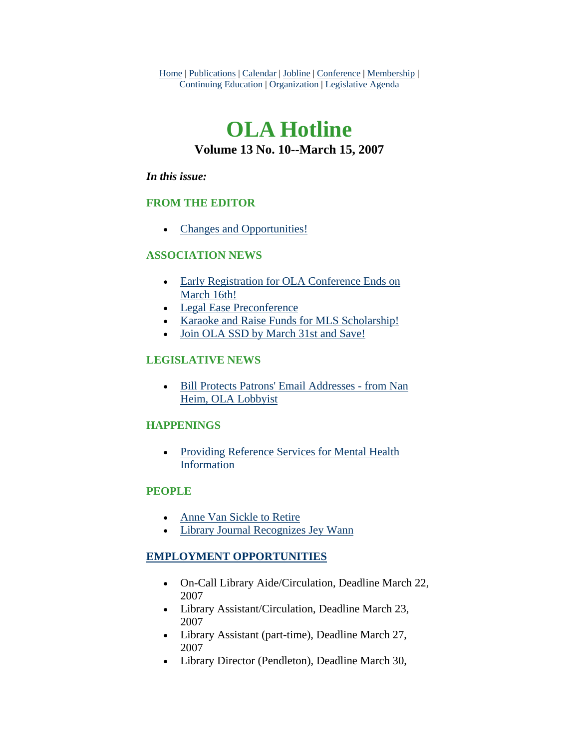Home | Publications | Calendar | Jobline | Conference | Membership | Continuing Education | Organization | Legislative Agenda

# **OLA Hotline Volume 13 No. 10--March 15, 2007**

### *In this issue:*

## **FROM THE EDITOR**

• [Changes and Opportunities!](#page-1-0)

## **ASSOCIATION NEWS**

- [Early Registration for OLA Conference Ends on](#page-2-0)  [March 16th!](#page-2-0)
- [Legal Ease Preconference](#page-2-0)
- [Karaoke and Raise Funds for MLS Scholarship!](#page-3-0)
- [Join OLA SSD by March 31st and Save!](#page-4-0)

## **LEGISLATIVE NEWS**

• [Bill Protects Patrons' Email Addresses - from Nan](#page-4-0)  [Heim, OLA Lobbyist](#page-4-0)

## **HAPPENINGS**

• [Providing Reference Services for Mental Health](#page-5-0)  [Information](#page-5-0)

## **PEOPLE**

- [Anne Van Sickle to Retire](#page-6-0)
- [Library Journal Recognizes Jey Wann](#page-7-0)

## **EMPLOYMENT OPPORTUNITIES**

- On-Call Library Aide/Circulation, Deadline March 22, 2007
- Library Assistant/Circulation, Deadline March 23, 2007
- Library Assistant (part-time), Deadline March 27, 2007
- Library Director (Pendleton), Deadline March 30,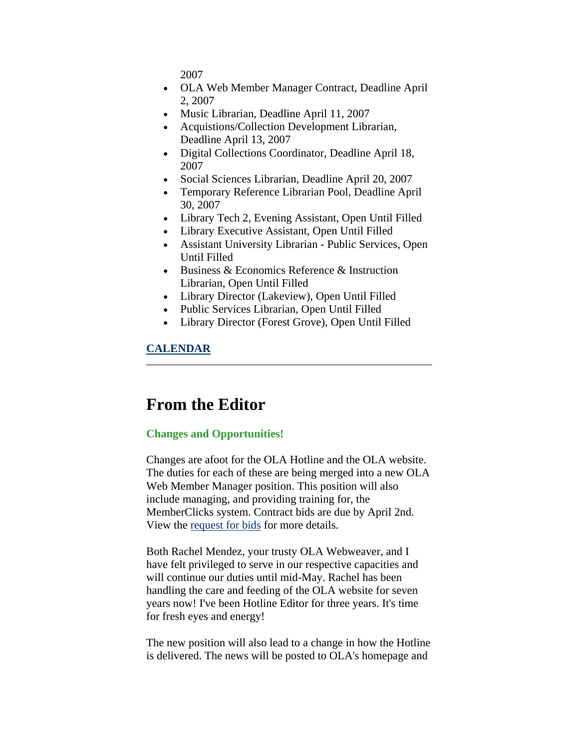2007

- <span id="page-1-0"></span>• OLA Web Member Manager Contract, Deadline April 2, 2007
- Music Librarian, Deadline April 11, 2007
- Acquistions/Collection Development Librarian, Deadline April 13, 2007
- Digital Collections Coordinator, Deadline April 18, 2007
- Social Sciences Librarian, Deadline April 20, 2007
- Temporary Reference Librarian Pool, Deadline April 30, 2007
- Library Tech 2, Evening Assistant, Open Until Filled
- Library Executive Assistant, Open Until Filled
- Assistant University Librarian Public Services, Open Until Filled
- Business & Economics Reference & Instruction Librarian, Open Until Filled
- Library Director (Lakeview), Open Until Filled
- Public Services Librarian, Open Until Filled
- Library Director (Forest Grove), Open Until Filled

## **CALENDAR**

# **From the Editor**

### **Changes and Opportunities!**

Changes are afoot for the OLA Hotline and the OLA website. The duties for each of these are being merged into a new OLA Web Member Manager position. This position will also include managing, and providing training for, the MemberClicks system. Contract bids are due by April 2nd. View the [request for bids](http://www.olaweb.org/jobline.shtml#402) for more details.

Both Rachel Mendez, your trusty OLA Webweaver, and I have felt privileged to serve in our respective capacities and will continue our duties until mid-May. Rachel has been handling the care and feeding of the OLA website for seven years now! I've been Hotline Editor for three years. It's time for fresh eyes and energy!

The new position will also lead to a change in how the Hotline is delivered. The news will be posted to OLA's homepage and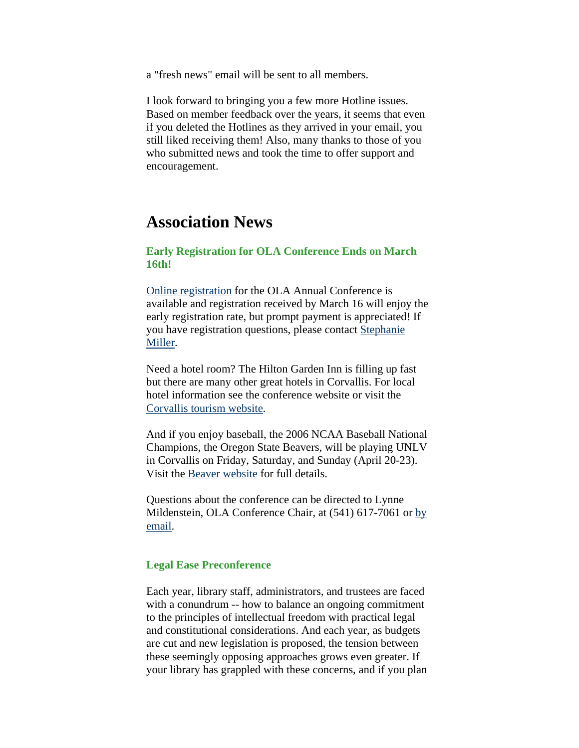<span id="page-2-0"></span>a "fresh news" email will be sent to all members.

I look forward to bringing you a few more Hotline issues. Based on member feedback over the years, it seems that even if you deleted the Hotlines as they arrived in your email, you still liked receiving them! Also, many thanks to those of you who submitted news and took the time to offer support and encouragement.

## **Association News**

### **Early Registration for OLA Conference Ends on March 16th!**

[Online registration](http://www.olaweb.org/conference/index.html) for the OLA Annual Conference is available and registration received by March 16 will enjoy the early registration rate, but prompt payment is appreciated! If you have registration questions, please contact [Stephanie](mailto:stephrmiller@yahoo.com)  [Miller.](mailto:stephrmiller@yahoo.com)

Need a hotel room? The Hilton Garden Inn is filling up fast but there are many other great hotels in Corvallis. For local hotel information see the conference website or visit the [Corvallis tourism website](http://www.visitcorvallis.com/lodging/index.html).

And if you enjoy baseball, the 2006 NCAA Baseball National Champions, the Oregon State Beavers, will be playing UNLV in Corvallis on Friday, Saturday, and Sunday (April 20-23). Visit the [Beaver website](http://www.osubeavers.com/SportSelect.dbml?SPSID=24958&SPID=1962&DB_OEM_ID=4700&_MODE_=SkipIntro) for full details.

Questions about the conference can be directed to Lynne Mildenstein, OLA Conference Chair, at (541) 617-7061 or [by](mailto:lynnem@dpls.us)  [email](mailto:lynnem@dpls.us).

#### **Legal Ease Preconference**

Each year, library staff, administrators, and trustees are faced with a conundrum -- how to balance an ongoing commitment to the principles of intellectual freedom with practical legal and constitutional considerations. And each year, as budgets are cut and new legislation is proposed, the tension between these seemingly opposing approaches grows even greater. If your library has grappled with these concerns, and if you plan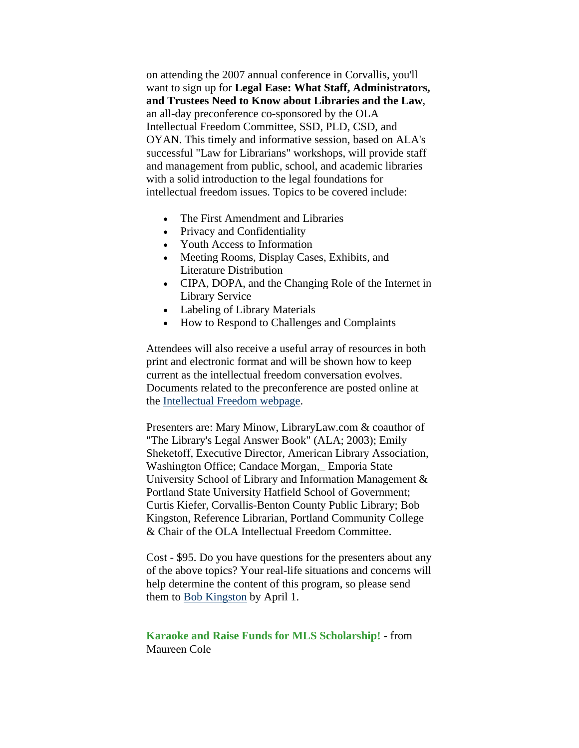<span id="page-3-0"></span>on attending the 2007 annual conference in Corvallis, you'll want to sign up for **Legal Ease: What Staff, Administrators, and Trustees Need to Know about Libraries and the Law**, an all-day preconference co-sponsored by the OLA Intellectual Freedom Committee, SSD, PLD, CSD, and OYAN. This timely and informative session, based on ALA's successful "Law for Librarians" workshops, will provide staff and management from public, school, and academic libraries with a solid introduction to the legal foundations for intellectual freedom issues. Topics to be covered include:

- The First Amendment and Libraries
- Privacy and Confidentiality
- Youth Access to Information
- Meeting Rooms, Display Cases, Exhibits, and Literature Distribution
- CIPA, DOPA, and the Changing Role of the Internet in Library Service
- Labeling of Library Materials
- How to Respond to Challenges and Complaints

Attendees will also receive a useful array of resources in both print and electronic format and will be shown how to keep current as the intellectual freedom conversation evolves. Documents related to the preconference are posted online at the [Intellectual Freedom webpage.](http://olaweb.org/org/ifc.shtml)

Presenters are: Mary Minow, LibraryLaw.com & coauthor of "The Library's Legal Answer Book" (ALA; 2003); Emily Sheketoff, Executive Director, American Library Association, Washington Office; Candace Morgan,\_ Emporia State University School of Library and Information Management & Portland State University Hatfield School of Government; Curtis Kiefer, Corvallis-Benton County Public Library; Bob Kingston, Reference Librarian, Portland Community College & Chair of the OLA Intellectual Freedom Committee.

Cost - \$95. Do you have questions for the presenters about any of the above topics? Your real-life situations and concerns will help determine the content of this program, so please send them to [Bob Kingston](mailto:bob.kingston@pcc.edu) by April 1.

### **Karaoke and Raise Funds for MLS Scholarship!** - from Maureen Cole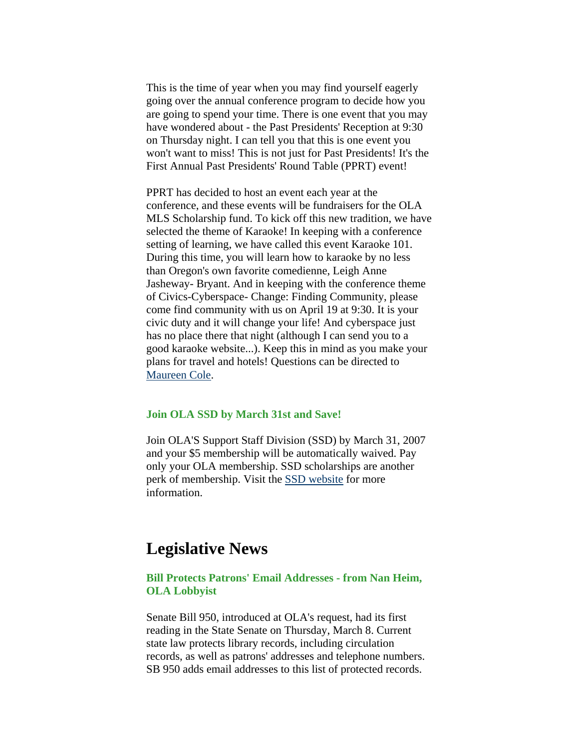<span id="page-4-0"></span>This is the time of year when you may find yourself eagerly going over the annual conference program to decide how you are going to spend your time. There is one event that you may have wondered about - the Past Presidents' Reception at 9:30 on Thursday night. I can tell you that this is one event you won't want to miss! This is not just for Past Presidents! It's the First Annual Past Presidents' Round Table (PPRT) event!

PPRT has decided to host an event each year at the conference, and these events will be fundraisers for the OLA MLS Scholarship fund. To kick off this new tradition, we have selected the theme of Karaoke! In keeping with a conference setting of learning, we have called this event Karaoke 101. During this time, you will learn how to karaoke by no less than Oregon's own favorite comedienne, Leigh Anne Jasheway- Bryant. And in keeping with the conference theme of Civics-Cyberspace- Change: Finding Community, please come find community with us on April 19 at 9:30. It is your civic duty and it will change your life! And cyberspace just has no place there that night (although I can send you to a good karaoke website...). Keep this in mind as you make your plans for travel and hotels! Questions can be directed to [Maureen Cole](mailto:mjsdcole@comcast.net).

#### **Join OLA SSD by March 31st and Save!**

Join OLA'S Support Staff Division (SSD) by March 31, 2007 and your \$5 membership will be automatically waived. Pay only your OLA membership. SSD scholarships are another perk of membership. Visit the [SSD website](http://library.willamette.edu/ssd/) for more information.

## **Legislative News**

### **Bill Protects Patrons' Email Addresses - from Nan Heim, OLA Lobbyist**

Senate Bill 950, introduced at OLA's request, had its first reading in the State Senate on Thursday, March 8. Current state law protects library records, including circulation records, as well as patrons' addresses and telephone numbers. SB 950 adds email addresses to this list of protected records.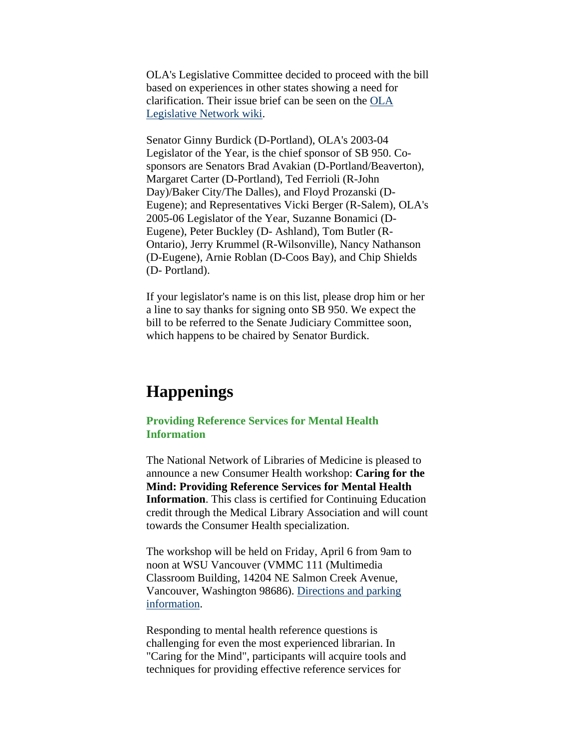<span id="page-5-0"></span>OLA's Legislative Committee decided to proceed with the bill based on experiences in other states showing a need for clarification. Their issue brief can be seen on the [OLA](http://olanetwork.wikispaces.com/OLA%27s+Issue+Papers+for+the+2007+Legislature)  [Legislative Network wiki](http://olanetwork.wikispaces.com/OLA%27s+Issue+Papers+for+the+2007+Legislature).

Senator Ginny Burdick (D-Portland), OLA's 2003-04 Legislator of the Year, is the chief sponsor of SB 950. Cosponsors are Senators Brad Avakian (D-Portland/Beaverton), Margaret Carter (D-Portland), Ted Ferrioli (R-John Day)/Baker City/The Dalles), and Floyd Prozanski (D-Eugene); and Representatives Vicki Berger (R-Salem), OLA's 2005-06 Legislator of the Year, Suzanne Bonamici (D-Eugene), Peter Buckley (D- Ashland), Tom Butler (R-Ontario), Jerry Krummel (R-Wilsonville), Nancy Nathanson (D-Eugene), Arnie Roblan (D-Coos Bay), and Chip Shields (D- Portland).

If your legislator's name is on this list, please drop him or her a line to say thanks for signing onto SB 950. We expect the bill to be referred to the Senate Judiciary Committee soon, which happens to be chaired by Senator Burdick.

# **Happenings**

### **Providing Reference Services for Mental Health Information**

The National Network of Libraries of Medicine is pleased to announce a new Consumer Health workshop: **Caring for the Mind: Providing Reference Services for Mental Health Information**. This class is certified for Continuing Education credit through the Medical Library Association and will count towards the Consumer Health specialization.

The workshop will be held on Friday, April 6 from 9am to noon at WSU Vancouver (VMMC 111 (Multimedia Classroom Building, 14204 NE Salmon Creek Avenue, Vancouver, Washington 98686). [Directions and parking](http://www.vancouver.wsu.edu/ca/location.htm)  [information](http://www.vancouver.wsu.edu/ca/location.htm).

Responding to mental health reference questions is challenging for even the most experienced librarian. In "Caring for the Mind", participants will acquire tools and techniques for providing effective reference services for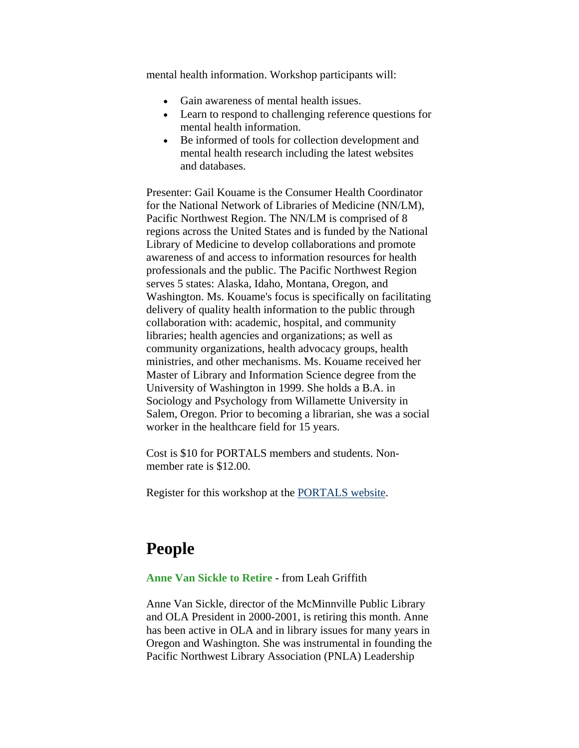<span id="page-6-0"></span>mental health information. Workshop participants will:

- Gain awareness of mental health issues.
- Learn to respond to challenging reference questions for mental health information.
- Be informed of tools for collection development and mental health research including the latest websites and databases.

Presenter: Gail Kouame is the Consumer Health Coordinator for the National Network of Libraries of Medicine (NN/LM), Pacific Northwest Region. The NN/LM is comprised of 8 regions across the United States and is funded by the National Library of Medicine to develop collaborations and promote awareness of and access to information resources for health professionals and the public. The Pacific Northwest Region serves 5 states: Alaska, Idaho, Montana, Oregon, and Washington. Ms. Kouame's focus is specifically on facilitating delivery of quality health information to the public through collaboration with: academic, hospital, and community libraries; health agencies and organizations; as well as community organizations, health advocacy groups, health ministries, and other mechanisms. Ms. Kouame received her Master of Library and Information Science degree from the University of Washington in 1999. She holds a B.A. in Sociology and Psychology from Willamette University in Salem, Oregon. Prior to becoming a librarian, she was a social worker in the healthcare field for 15 years.

Cost is \$10 for PORTALS members and students. Nonmember rate is \$12.00.

Register for this workshop at the [PORTALS website.](http://www.portals.org/)

# **People**

#### **Anne Van Sickle to Retire** - from Leah Griffith

Anne Van Sickle, director of the McMinnville Public Library and OLA President in 2000-2001, is retiring this month. Anne has been active in OLA and in library issues for many years in Oregon and Washington. She was instrumental in founding the Pacific Northwest Library Association (PNLA) Leadership